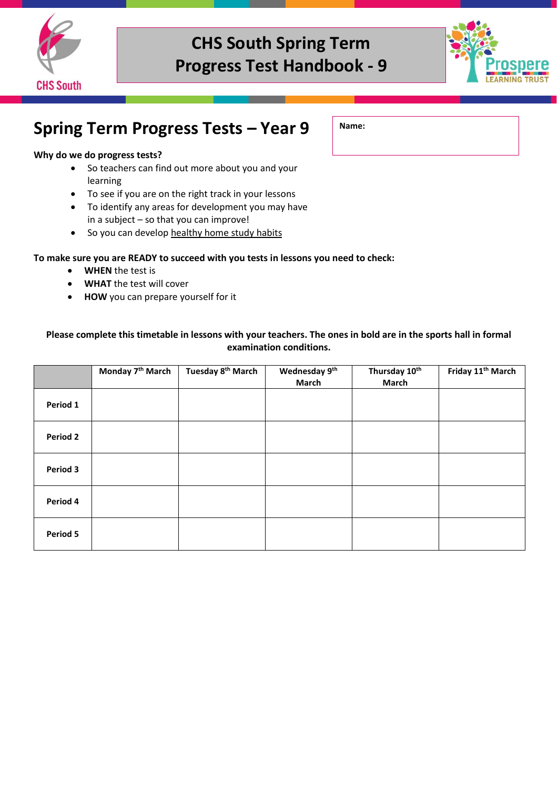



### **Spring Term Progress Tests – Year 9**

#### **Why do we do progress tests?**

- So teachers can find out more about you and your learning
- To see if you are on the right track in your lessons
- To identify any areas for development you may have in a subject – so that you can improve!
- So you can develop healthy home study habits

#### **To make sure you are READY to succeed with you tests in lessons you need to check:**

- **WHEN** the test is
- **WHAT** the test will cover
- **HOW** you can prepare yourself for it

#### **Please complete this timetable in lessons with your teachers. The ones in bold are in the sports hall in formal examination conditions.**

|          | Monday 7 <sup>th</sup> March | Tuesday 8 <sup>th</sup> March | Wednesday 9th<br><b>March</b> | Thursday 10th<br><b>March</b> | Friday 11 <sup>th</sup> March |
|----------|------------------------------|-------------------------------|-------------------------------|-------------------------------|-------------------------------|
| Period 1 |                              |                               |                               |                               |                               |
| Period 2 |                              |                               |                               |                               |                               |
| Period 3 |                              |                               |                               |                               |                               |
| Period 4 |                              |                               |                               |                               |                               |
| Period 5 |                              |                               |                               |                               |                               |

**Name:**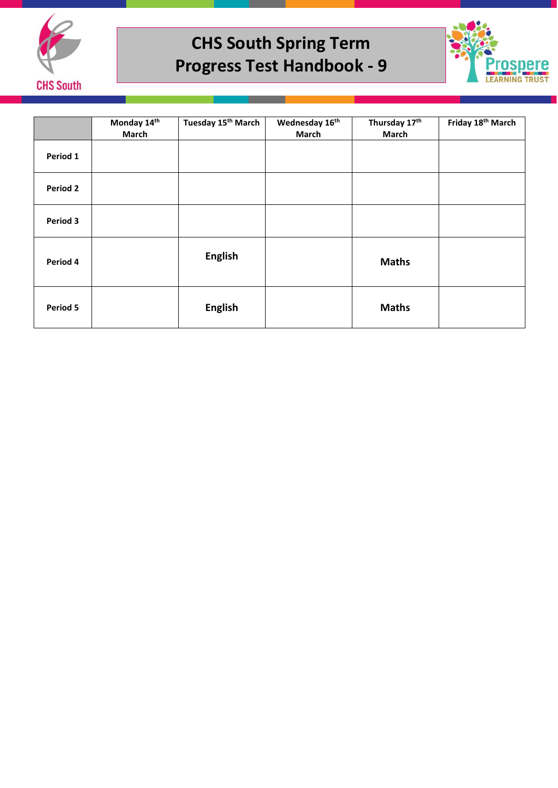



|                 | Monday 14th<br><b>March</b> | Tuesday 15 <sup>th</sup> March | Wednesday 16th<br>March | Thursday 17th<br>March | Friday 18 <sup>th</sup> March |
|-----------------|-----------------------------|--------------------------------|-------------------------|------------------------|-------------------------------|
| Period 1        |                             |                                |                         |                        |                               |
| <b>Period 2</b> |                             |                                |                         |                        |                               |
| Period 3        |                             |                                |                         |                        |                               |
| Period 4        |                             | <b>English</b>                 |                         | <b>Maths</b>           |                               |
| Period 5        |                             | <b>English</b>                 |                         | <b>Maths</b>           |                               |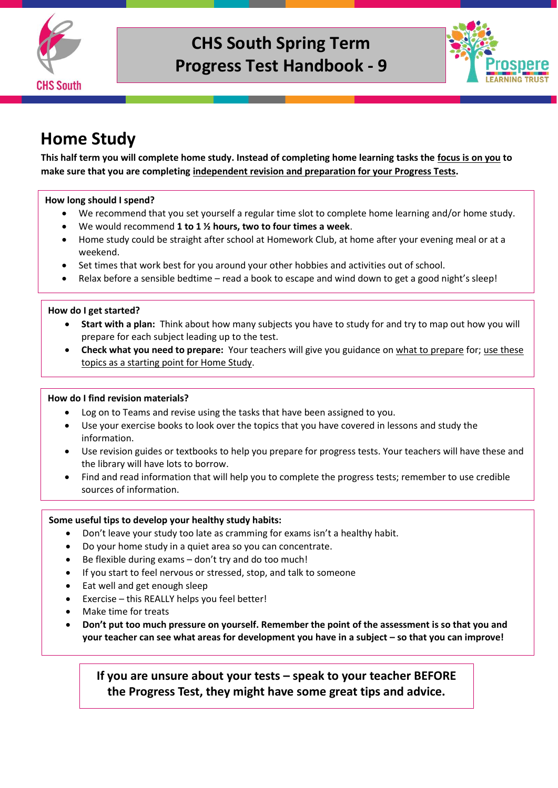



## **Home Study**

**This half term you will complete home study. Instead of completing home learning tasks the focus is on you to make sure that you are completing independent revision and preparation for your Progress Tests.** 

#### **How long should I spend?**

- We recommend that you set yourself a regular time slot to complete home learning and/or home study.
- We would recommend **1 to 1 ½ hours, two to four times a week**.
- Home study could be straight after school at Homework Club, at home after your evening meal or at a weekend.
- Set times that work best for you around your other hobbies and activities out of school.
- Relax before a sensible bedtime read a book to escape and wind down to get a good night's sleep!

#### **How do I get started?**

- **Start with a plan:** Think about how many subjects you have to study for and try to map out how you will prepare for each subject leading up to the test.
- **Check what you need to prepare:** Your teachers will give you guidance on what to prepare for; use these topics as a starting point for Home Study.

#### **How do I find revision materials?**

- Log on to Teams and revise using the tasks that have been assigned to you.
- Use your exercise books to look over the topics that you have covered in lessons and study the information.
- Use revision guides or textbooks to help you prepare for progress tests. Your teachers will have these and the library will have lots to borrow.
- Find and read information that will help you to complete the progress tests; remember to use credible sources of information.

#### **Some useful tips to develop your healthy study habits:**

- Don't leave your study too late as cramming for exams isn't a healthy habit.
- Do your home study in a quiet area so you can concentrate.
- Be flexible during exams don't try and do too much!
- If you start to feel nervous or stressed, stop, and talk to someone
- Eat well and get enough sleep
- Exercise this REALLY helps you feel better!
- Make time for treats
- **Don't put too much pressure on yourself. Remember the point of the assessment is so that you and your teacher can see what areas for development you have in a subject – so that you can improve!**

**If you are unsure about your tests – speak to your teacher BEFORE the Progress Test, they might have some great tips and advice.**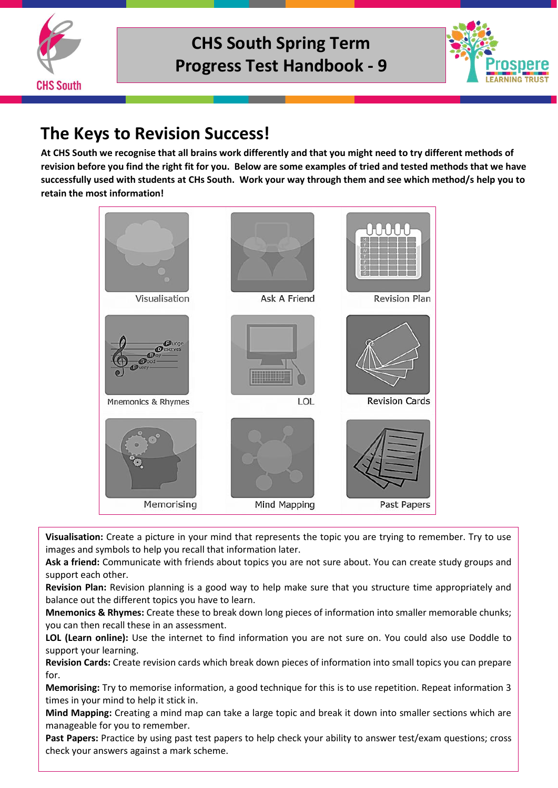



## **The Keys to Revision Success!**

**At CHS South we recognise that all brains work differently and that you might need to try different methods of revision before you find the right fit for you. Below are some examples of tried and tested methods that we have successfully used with students at CHs South. Work your way through them and see which method/s help you to retain the most information!**



**Visualisation:** Create a picture in your mind that represents the topic you are trying to remember. Try to use images and symbols to help you recall that information later.

**Ask a friend:** Communicate with friends about topics you are not sure about. You can create study groups and support each other.

**Revision Plan:** Revision planning is a good way to help make sure that you structure time appropriately and balance out the different topics you have to learn.

**Mnemonics & Rhymes:** Create these to break down long pieces of information into smaller memorable chunks; you can then recall these in an assessment.

**LOL (Learn online):** Use the internet to find information you are not sure on. You could also use Doddle to support your learning.

**Revision Cards:** Create revision cards which break down pieces of information into small topics you can prepare for.

**Memorising:** Try to memorise information, a good technique for this is to use repetition. Repeat information 3 times in your mind to help it stick in.

**Mind Mapping:** Creating a mind map can take a large topic and break it down into smaller sections which are manageable for you to remember.

**Past Papers:** Practice by using past test papers to help check your ability to answer test/exam questions; cross check your answers against a mark scheme.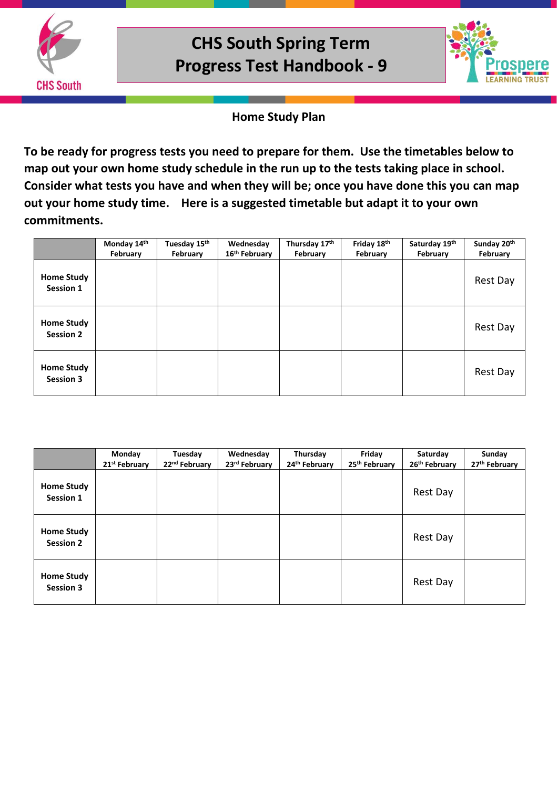



### **Home Study Plan**

**To be ready for progress tests you need to prepare for them. Use the timetables below to map out your own home study schedule in the run up to the tests taking place in school. Consider what tests you have and when they will be; once you have done this you can map out your home study time. Here is a suggested timetable but adapt it to your own commitments.** 

|                                       | Monday 14th | Tuesday 15th | Wednesday                 | Thursday 17th | Friday 18th | Saturday 19th | Sunday 20th |
|---------------------------------------|-------------|--------------|---------------------------|---------------|-------------|---------------|-------------|
|                                       | February    | February     | 16 <sup>th</sup> February | February      | February    | February      | February    |
| <b>Home Study</b><br>Session 1        |             |              |                           |               |             |               | Rest Day    |
| <b>Home Study</b><br><b>Session 2</b> |             |              |                           |               |             |               | Rest Day    |
| <b>Home Study</b><br><b>Session 3</b> |             |              |                           |               |             |               | Rest Day    |

|                                       | Monday<br>21 <sup>st</sup> February | Tuesday<br>22 <sup>nd</sup> February | Wednesday<br>23rd February | Thursday<br>24th February | Friday<br>25th February | Saturday<br>26th February | Sunday<br>27 <sup>th</sup> February |
|---------------------------------------|-------------------------------------|--------------------------------------|----------------------------|---------------------------|-------------------------|---------------------------|-------------------------------------|
| <b>Home Study</b><br>Session 1        |                                     |                                      |                            |                           |                         | Rest Day                  |                                     |
| <b>Home Study</b><br><b>Session 2</b> |                                     |                                      |                            |                           |                         | Rest Day                  |                                     |
| <b>Home Study</b><br><b>Session 3</b> |                                     |                                      |                            |                           |                         | Rest Day                  |                                     |